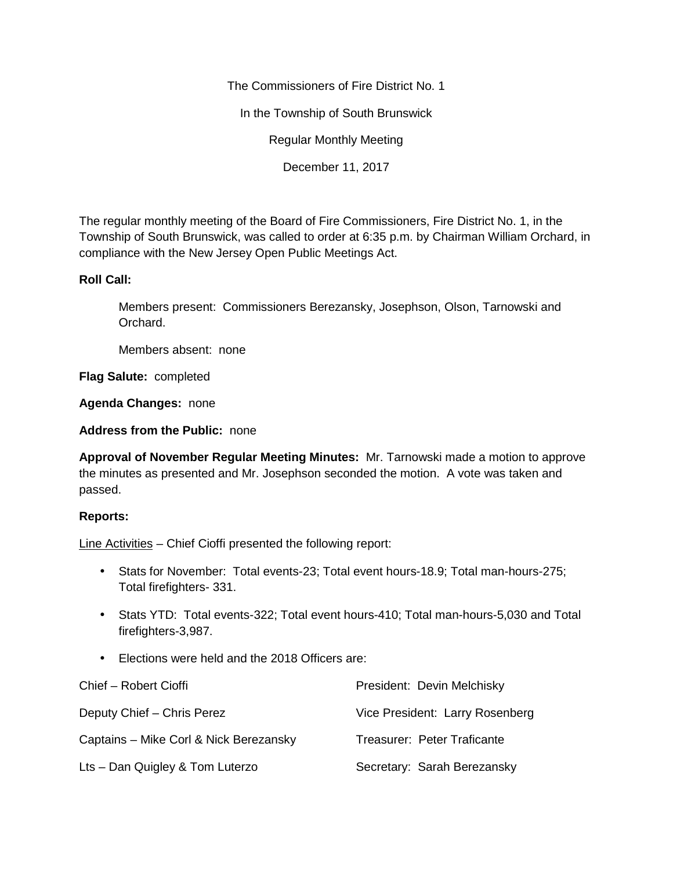The Commissioners of Fire District No. 1

In the Township of South Brunswick

Regular Monthly Meeting

December 11, 2017

The regular monthly meeting of the Board of Fire Commissioners, Fire District No. 1, in the Township of South Brunswick, was called to order at 6:35 p.m. by Chairman William Orchard, in compliance with the New Jersey Open Public Meetings Act.

## **Roll Call:**

Members present: Commissioners Berezansky, Josephson, Olson, Tarnowski and Orchard.

Members absent: none

**Flag Salute:** completed

**Agenda Changes:** none

**Address from the Public:** none

**Approval of November Regular Meeting Minutes:** Mr. Tarnowski made a motion to approve the minutes as presented and Mr. Josephson seconded the motion. A vote was taken and passed.

## **Reports:**

Line Activities – Chief Cioffi presented the following report:

- Stats for November: Total events-23; Total event hours-18.9; Total man-hours-275; Total firefighters- 331.
- Stats YTD: Total events-322; Total event hours-410; Total man-hours-5,030 and Total firefighters-3,987.
- Elections were held and the 2018 Officers are:

| Chief - Robert Cioffi                  | President: Devin Melchisky      |
|----------------------------------------|---------------------------------|
| Deputy Chief - Chris Perez             | Vice President: Larry Rosenberg |
| Captains – Mike Corl & Nick Berezansky | Treasurer: Peter Traficante     |
| Lts - Dan Quigley & Tom Luterzo        | Secretary: Sarah Berezansky     |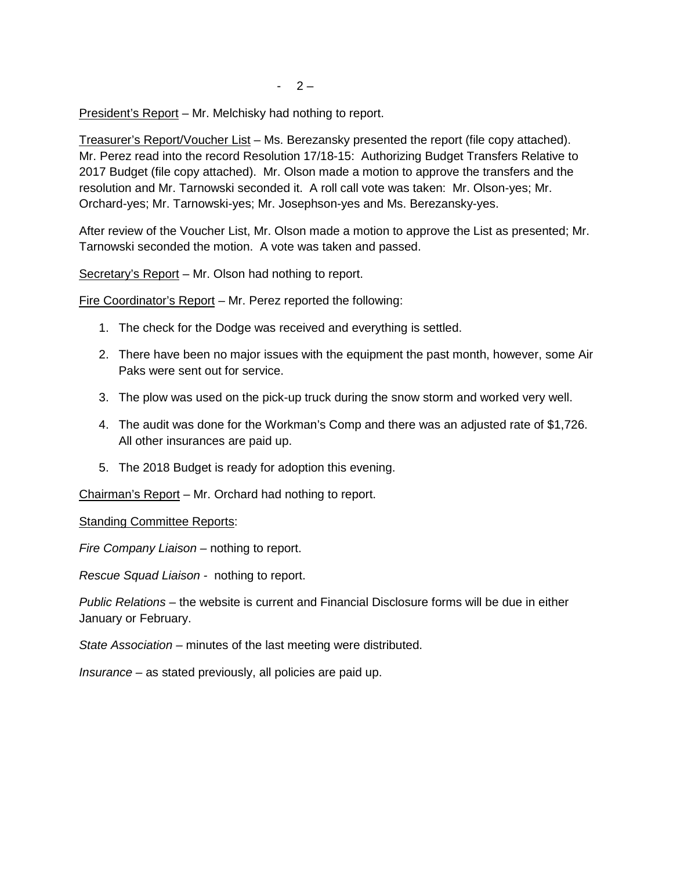President's Report – Mr. Melchisky had nothing to report.

Treasurer's Report/Voucher List – Ms. Berezansky presented the report (file copy attached). Mr. Perez read into the record Resolution 17/18-15: Authorizing Budget Transfers Relative to 2017 Budget (file copy attached). Mr. Olson made a motion to approve the transfers and the resolution and Mr. Tarnowski seconded it. A roll call vote was taken: Mr. Olson-yes; Mr. Orchard-yes; Mr. Tarnowski-yes; Mr. Josephson-yes and Ms. Berezansky-yes.

After review of the Voucher List, Mr. Olson made a motion to approve the List as presented; Mr. Tarnowski seconded the motion. A vote was taken and passed.

Secretary's Report – Mr. Olson had nothing to report.

Fire Coordinator's Report – Mr. Perez reported the following:

- 1. The check for the Dodge was received and everything is settled.
- 2. There have been no major issues with the equipment the past month, however, some Air Paks were sent out for service.
- 3. The plow was used on the pick-up truck during the snow storm and worked very well.
- 4. The audit was done for the Workman's Comp and there was an adjusted rate of \$1,726. All other insurances are paid up.
- 5. The 2018 Budget is ready for adoption this evening.

Chairman's Report – Mr. Orchard had nothing to report.

Standing Committee Reports:

*Fire Company Liaison –* nothing to report.

*Rescue Squad Liaison -* nothing to report.

*Public Relations –* the website is current and Financial Disclosure forms will be due in either January or February.

*State Association –* minutes of the last meeting were distributed.

*Insurance –* as stated previously, all policies are paid up.